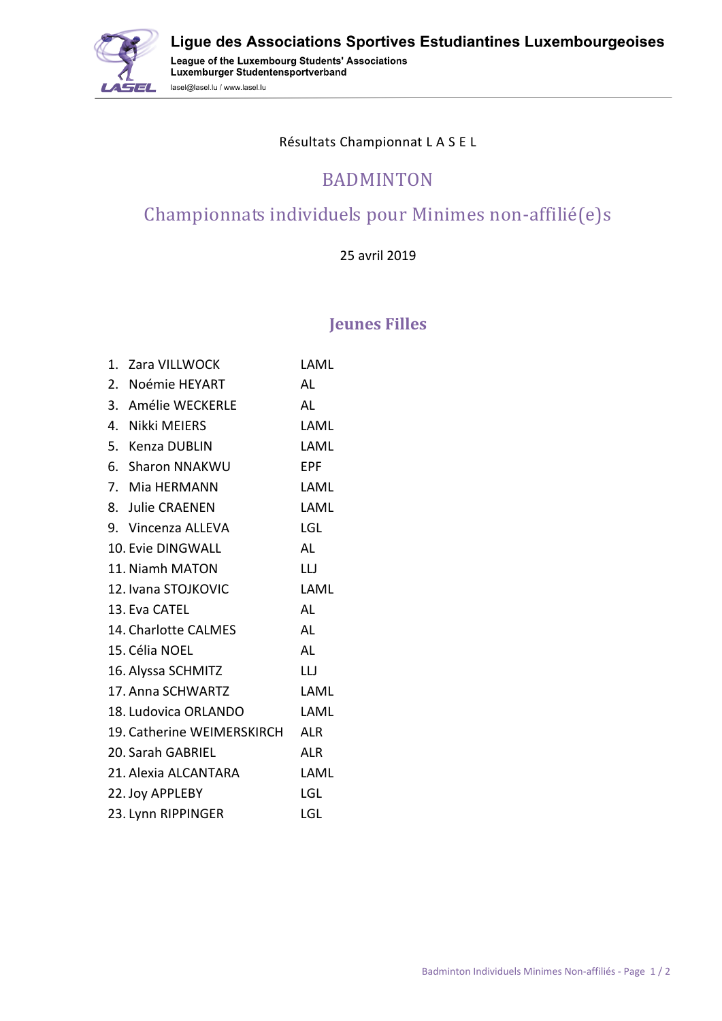

Ligue des Associations Sportives Estudiantines Luxembourgeoises

League of the Luxembourg Students' Associations<br>Luxemburger Studentensportverband lasel@lasel.lu / www.lasel.lu

#### Résultats Championnat L A S E L

### BADMINTON

# Championnats individuels pour Minimes non-affilié(e)s

#### 25 avril 2019

### **Jeunes Filles**

| 1. Zara VILLWOCK           | LAML       |
|----------------------------|------------|
| 2. Noémie HEYART           | AL         |
| 3. Amélie WECKERLE         | AL         |
| 4. Nikki MEIERS            | LAML       |
| 5. Kenza DUBLIN            | LAML       |
| 6. Sharon NNAKWU           | <b>EPF</b> |
| 7. Mia HERMANN             | LAML       |
| 8. Julie CRAENEN           | LAML       |
| 9. Vincenza ALLEVA         | LGL        |
| 10. Evie DINGWALL          | AL         |
| 11. Niamh MATON            | LLJ        |
| 12. Ivana STOJKOVIC        | LAML       |
| 13. Eva CATEL              | AL         |
| 14. Charlotte CALMES       | AL         |
| 15. Célia NOEL             | AL         |
| 16. Alyssa SCHMITZ         | LU         |
| 17. Anna SCHWARTZ          | LAML       |
| 18. Ludovica ORLANDO       | LAML       |
| 19. Catherine WEIMERSKIRCH | <b>ALR</b> |
| 20. Sarah GABRIEL          | ALR        |
| 21. Alexia ALCANTARA       | LAML       |
| 22. Joy APPLEBY            | LGL        |
| 23. Lynn RIPPINGER         | LGL        |